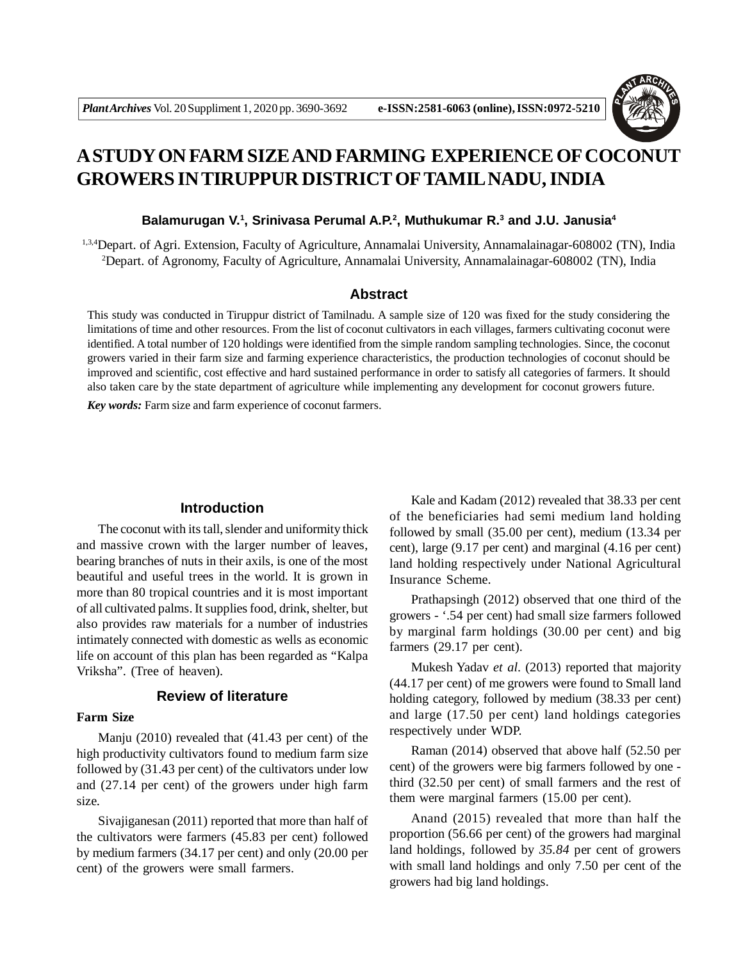

# **A STUDY ON FARM SIZE AND FARMING EXPERIENCE OF COCONUT GROWERS IN TIRUPPUR DISTRICT OFTAMIL NADU, INDIA**

#### **Balamurugan V.<sup>1</sup> , Srinivasa Perumal A.P.<sup>2</sup> , Muthukumar R.<sup>3</sup> and J.U. Janusia<sup>4</sup>**

1,3,4Depart. of Agri. Extension, Faculty of Agriculture, Annamalai University, Annamalainagar-608002 (TN), India <sup>2</sup>Depart. of Agronomy, Faculty of Agriculture, Annamalai University, Annamalainagar-608002 (TN), India

## **Abstract**

This study was conducted in Tiruppur district of Tamilnadu. A sample size of 120 was fixed for the study considering the limitations of time and other resources. From the list of coconut cultivators in each villages, farmers cultivating coconut were identified. A total number of 120 holdings were identified from the simple random sampling technologies. Since, the coconut growers varied in their farm size and farming experience characteristics, the production technologies of coconut should be improved and scientific, cost effective and hard sustained performance in order to satisfy all categories of farmers. It should also taken care by the state department of agriculture while implementing any development for coconut growers future.

*Key words:* Farm size and farm experience of coconut farmers.

# **Introduction**

The coconut with its tall, slender and uniformity thick and massive crown with the larger number of leaves, bearing branches of nuts in their axils, is one of the most beautiful and useful trees in the world. It is grown in more than 80 tropical countries and it is most important of all cultivated palms. It supplies food, drink, shelter, but also provides raw materials for a number of industries intimately connected with domestic as wells as economic life on account of this plan has been regarded as "Kalpa Vriksha". (Tree of heaven).

# **Review of literature**

## **Farm Size**

Manju (2010) revealed that (41.43 per cent) of the high productivity cultivators found to medium farm size followed by (31.43 per cent) of the cultivators under low and (27.14 per cent) of the growers under high farm size.

Sivajiganesan (2011) reported that more than half of the cultivators were farmers (45.83 per cent) followed by medium farmers (34.17 per cent) and only (20.00 per cent) of the growers were small farmers.

Kale and Kadam (2012) revealed that 38.33 per cent of the beneficiaries had semi medium land holding followed by small (35.00 per cent), medium (13.34 per cent), large (9.17 per cent) and marginal (4.16 per cent) land holding respectively under National Agricultural Insurance Scheme.

Prathapsingh (2012) observed that one third of the growers - '.54 per cent) had small size farmers followed by marginal farm holdings (30.00 per cent) and big farmers (29.17 per cent).

Mukesh Yadav *et al.* (2013) reported that majority (44.17 per cent) of me growers were found to Small land holding category, followed by medium (38.33 per cent) and large (17.50 per cent) land holdings categories respectively under WDP.

Raman (2014) observed that above half (52.50 per cent) of the growers were big farmers followed by one third (32.50 per cent) of small farmers and the rest of them were marginal farmers (15.00 per cent).

Anand (2015) revealed that more than half the proportion (56.66 per cent) of the growers had marginal land holdings, followed by *35.84* per cent of growers with small land holdings and only 7.50 per cent of the growers had big land holdings.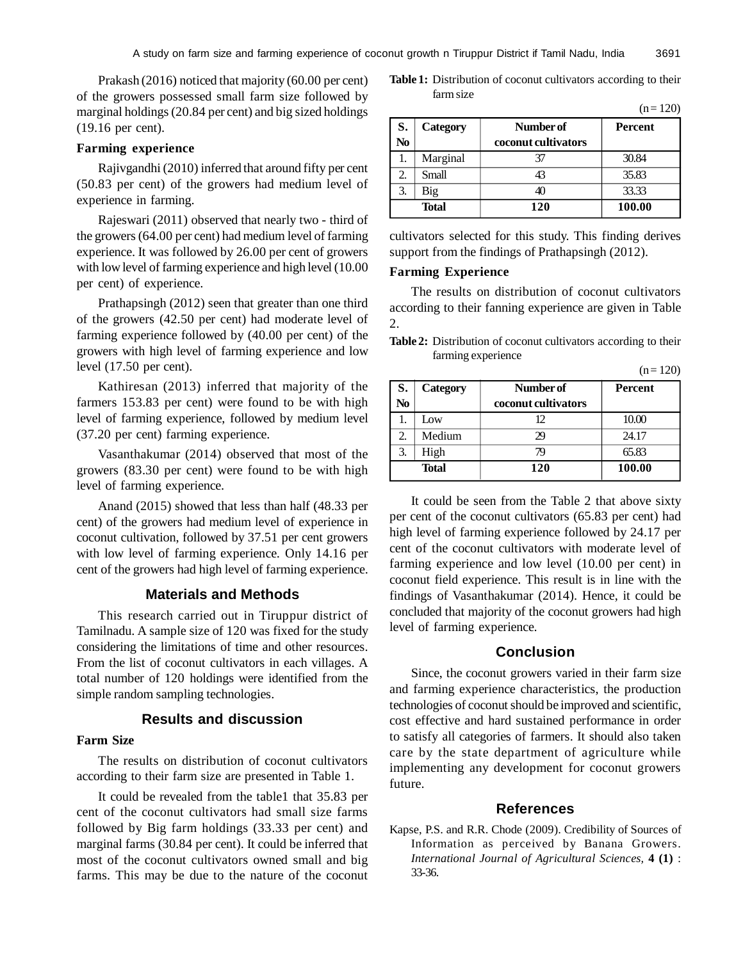Prakash (2016) noticed that majority (60.00 per cent) of the growers possessed small farm size followed by marginal holdings (20.84 per cent) and big sized holdings (19.16 per cent).

#### **Farming experience**

Rajivgandhi (2010) inferred that around fifty per cent (50.83 per cent) of the growers had medium level of experience in farming.

Rajeswari (2011) observed that nearly two - third of the growers (64.00 per cent) had medium level of farming experience. It was followed by 26.00 per cent of growers with low level of farming experience and high level (10.00 per cent) of experience.

Prathapsingh (2012) seen that greater than one third of the growers (42.50 per cent) had moderate level of farming experience followed by (40.00 per cent) of the growers with high level of farming experience and low level (17.50 per cent).

Kathiresan (2013) inferred that majority of the farmers 153.83 per cent) were found to be with high level of farming experience, followed by medium level (37.20 per cent) farming experience.

Vasanthakumar (2014) observed that most of the growers (83.30 per cent) were found to be with high level of farming experience.

Anand (2015) showed that less than half (48.33 per cent) of the growers had medium level of experience in coconut cultivation, followed by 37.51 per cent growers with low level of farming experience. Only 14.16 per cent of the growers had high level of farming experience.

### **Materials and Methods**

This research carried out in Tiruppur district of Tamilnadu. A sample size of 120 was fixed for the study considering the limitations of time and other resources. From the list of coconut cultivators in each villages. A total number of 120 holdings were identified from the simple random sampling technologies.

# **Results and discussion**

# **Farm Size**

The results on distribution of coconut cultivators according to their farm size are presented in Table 1.

It could be revealed from the table1 that 35.83 per cent of the coconut cultivators had small size farms followed by Big farm holdings (33.33 per cent) and marginal farms (30.84 per cent). It could be inferred that most of the coconut cultivators owned small and big farms. This may be due to the nature of the coconut

| <b>Table 1:</b> Distribution of coconut cultivators according to their |  |  |  |
|------------------------------------------------------------------------|--|--|--|
| farm size                                                              |  |  |  |

|              |          |                     | $(11 - 120)$   |
|--------------|----------|---------------------|----------------|
| S.           | Category | Number of           | <b>Percent</b> |
| No           |          | coconut cultivators |                |
|              | Marginal | 37                  | 30.84          |
|              | Small    | 43                  | 35.83          |
| 3.           | Big      | 40                  | 33.33          |
| <b>Total</b> |          | 120                 | 100.00         |

cultivators selected for this study. This finding derives support from the findings of Prathapsingh (2012).

#### **Farming Experience**

The results on distribution of coconut cultivators according to their fanning experience are given in Table 2.

**Table 2:** Distribution of coconut cultivators according to their farming experience

 $(n = 120)$ 

 $(n - 120)$ 

| S.<br>No     | Category | Number of<br>coconut cultivators | Percent |
|--------------|----------|----------------------------------|---------|
|              | Low      | 12.                              | 10.00   |
|              | Medium   | 29                               | 24.17   |
|              | High     |                                  | 65.83   |
| <b>Total</b> |          | 120                              | 100.00  |

It could be seen from the Table 2 that above sixty per cent of the coconut cultivators (65.83 per cent) had high level of farming experience followed by 24.17 per cent of the coconut cultivators with moderate level of farming experience and low level (10.00 per cent) in coconut field experience. This result is in line with the findings of Vasanthakumar (2014). Hence, it could be concluded that majority of the coconut growers had high level of farming experience.

# **Conclusion**

Since, the coconut growers varied in their farm size and farming experience characteristics, the production technologies of coconut should be improved and scientific, cost effective and hard sustained performance in order to satisfy all categories of farmers. It should also taken care by the state department of agriculture while implementing any development for coconut growers future.

#### **References**

Kapse, P.S. and R.R. Chode (2009). Credibility of Sources of Information as perceived by Banana Growers. *International Journal of Agricultural Sciences,* **4 (1)** : 33-36.